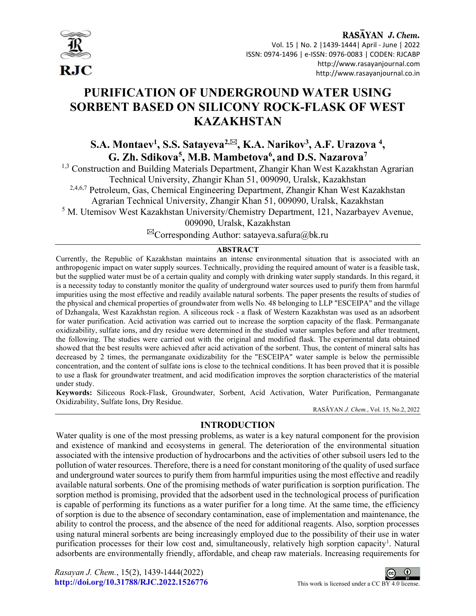

RASAYAN J. Chem. Vol. 15 | No. 2 |1439-1444| April - June | 2022 ISSN: 0974-1496 | e-ISSN: 0976-0083 | CODEN: RJCABP http://www.rasayanjournal.com http://www.rasayanjournal.co.in

# PURIFICATION OF UNDERGROUND WATER USING SORBENT BASED ON SILICONY ROCK-FLASK OF WEST KAZAKHSTAN

S.A. Montaev<sup>1</sup>, S.S. Satayeva<sup>2,⊠</sup>, K.A. Narikov<sup>3</sup>, A.F. Urazova <sup>4</sup>, G. Zh. Sdikova<sup>5</sup>, M.B. Mambetova<sup>6</sup>, and D.S. Nazarova<sup>7</sup>

<sup>1,3</sup> Construction and Building Materials Department, Zhangir Khan West Kazakhstan Agrarian Technical University, Zhangir Khan 51, 009090, Uralsk, Kazakhstan 2,4,6,7 Petroleum, Gas, Chemical Engineering Department, Zhangir Khan West Kazakhstan Agrarian Technical University, Zhangir Khan 51, 009090, Uralsk, Kazakhstan <sup>5</sup> M. Utemisov West Kazakhstan University/Chemistry Department, 121, Nazarbayev Avenue,

009090, Uralsk, Kazakhstan

 $^{\boxtimes}$ Corresponding Author: satayeva.safura@bk.ru

### **ABSTRACT**

Currently, the Republic of Kazakhstan maintains an intense environmental situation that is associated with an anthropogenic impact on water supply sources. Technically, providing the required amount of water is a feasible task, but the supplied water must be of a certain quality and comply with drinking water supply standards. In this regard, it is a necessity today to constantly monitor the quality of underground water sources used to purify them from harmful impurities using the most effective and readily available natural sorbents. The paper presents the results of studies of the physical and chemical properties of groundwater from wells No. 48 belonging to LLP "ESCEIPA" and the village of Dzhangala, West Kazakhstan region. A siliceous rock - a flask of Western Kazakhstan was used as an adsorbent for water purification. Acid activation was carried out to increase the sorption capacity of the flask. Permanganate oxidizability, sulfate ions, and dry residue were determined in the studied water samples before and after treatment, the following. The studies were carried out with the original and modified flask. The experimental data obtained showed that the best results were achieved after acid activation of the sorbent. Thus, the content of mineral salts has decreased by 2 times, the permanganate oxidizability for the "ESCEIPA" water sample is below the permissible concentration, and the content of sulfate ions is close to the technical conditions. It has been proved that it is possible to use a flask for groundwater treatment, and acid modification improves the sorption characteristics of the material under study.

Keywords: Siliceous Rock-Flask, Groundwater, Sorbent, Acid Activation, Water Purification, Permanganate Oxidizability, Sulfate Ions, Dry Residue.

RASĀYAN J. Chem., Vol. 15, No.2, 2022

### INTRODUCTION

Water quality is one of the most pressing problems, as water is a key natural component for the provision and existence of mankind and ecosystems in general. The deterioration of the environmental situation associated with the intensive production of hydrocarbons and the activities of other subsoil users led to the pollution of water resources. Therefore, there is a need for constant monitoring of the quality of used surface and underground water sources to purify them from harmful impurities using the most effective and readily available natural sorbents. One of the promising methods of water purification is sorption purification. The sorption method is promising, provided that the adsorbent used in the technological process of purification is capable of performing its functions as a water purifier for a long time. At the same time, the efficiency of sorption is due to the absence of secondary contamination, ease of implementation and maintenance, the ability to control the process, and the absence of the need for additional reagents. Also, sorption processes using natural mineral sorbents are being increasingly employed due to the possibility of their use in water purification processes for their low cost and, simultaneously, relatively high sorption capacity<sup>1</sup>. Natural adsorbents are environmentally friendly, affordable, and cheap raw materials. Increasing requirements for

Rasayan J. Chem., 15(2), 1439-1444(2022) http://doi.org/10.31788/RJC.2022.1526776 This work is licensed under a CC BY 4.0 license.

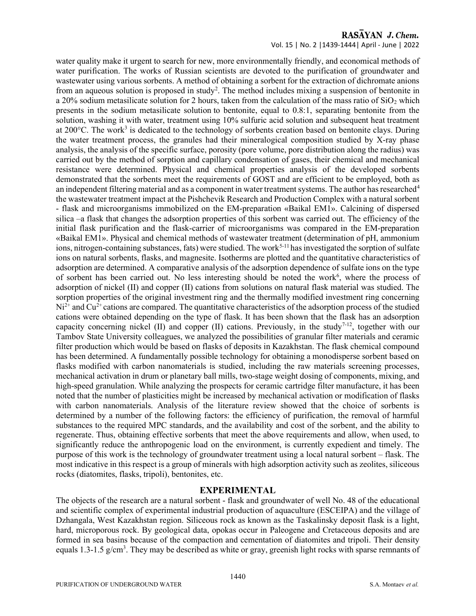### RASAYAN J. Chem.

### Vol. 15 | No. 2 |1439-1444| April - June | 2022

water quality make it urgent to search for new, more environmentally friendly, and economical methods of water purification. The works of Russian scientists are devoted to the purification of groundwater and wastewater using various sorbents. A method of obtaining a sorbent for the extraction of dichromate anions from an aqueous solution is proposed in study<sup>2</sup>. The method includes mixing a suspension of bentonite in a 20% sodium metasilicate solution for 2 hours, taken from the calculation of the mass ratio of  $SiO<sub>2</sub>$  which presents in the sodium metasilicate solution to bentonite, equal to 0.8:1, separating bentonite from the solution, washing it with water, treatment using 10% sulfuric acid solution and subsequent heat treatment at 200°C. The work<sup>3</sup> is dedicated to the technology of sorbents creation based on bentonite clays. During the water treatment process, the granules had their mineralogical composition studied by X-ray phase analysis, the analysis of the specific surface, porosity (pore volume, pore distribution along the radius) was carried out by the method of sorption and capillary condensation of gases, their chemical and mechanical resistance were determined. Physical and chemical properties analysis of the developed sorbents demonstrated that the sorbents meet the requirements of GOST and are efficient to be employed, both as an independent filtering material and as a component in water treatment systems. The author has researched<sup>4</sup> the wastewater treatment impact at the Pishchevik Research and Production Complex with a natural sorbent - flask and microorganisms immobilized on the EM-preparation «Baikal EM1». Calcining of dispersed silica –a flask that changes the adsorption properties of this sorbent was carried out. The efficiency of the initial flask purification and the flask-carrier of microorganisms was compared in the EM-preparation «Baikal EM1». Physical and chemical methods of wastewater treatment (determination of pH, ammonium ions, nitrogen-containing substances, fats) were studied. The work<sup>5-11</sup> has investigated the sorption of sulfate ions on natural sorbents, flasks, and magnesite. Isotherms are plotted and the quantitative characteristics of adsorption are determined. A comparative analysis of the adsorption dependence of sulfate ions on the type of sorbent has been carried out. No less interesting should be noted the work<sup>6</sup>, where the process of adsorption of nickel (II) and copper (II) cations from solutions on natural flask material was studied. The sorption properties of the original investment ring and the thermally modified investment ring concerning  $Ni<sup>2+</sup>$  and Cu<sup>2+</sup> cations are compared. The quantitative characteristics of the adsorption process of the studied cations were obtained depending on the type of flask. It has been shown that the flask has an adsorption capacity concerning nickel (II) and copper (II) cations. Previously, in the study<sup>7-12</sup>, together with our Tambov State University colleagues, we analyzed the possibilities of granular filter materials and ceramic filter production which would be based on flasks of deposits in Kazakhstan. The flask chemical compound has been determined. A fundamentally possible technology for obtaining a monodisperse sorbent based on flasks modified with carbon nanomaterials is studied, including the raw materials screening processes, mechanical activation in drum or planetary ball mills, two-stage weight dosing of components, mixing, and high-speed granulation. While analyzing the prospects for ceramic cartridge filter manufacture, it has been noted that the number of plasticities might be increased by mechanical activation or modification of flasks with carbon nanomaterials. Analysis of the literature review showed that the choice of sorbents is determined by a number of the following factors: the efficiency of purification, the removal of harmful substances to the required MPC standards, and the availability and cost of the sorbent, and the ability to regenerate. Thus, obtaining effective sorbents that meet the above requirements and allow, when used, to significantly reduce the anthropogenic load on the environment, is currently expedient and timely. The purpose of this work is the technology of groundwater treatment using a local natural sorbent – flask. The most indicative in this respect is a group of minerals with high adsorption activity such as zeolites, siliceous rocks (diatomites, flasks, tripoli), bentonites, etc.

### EXPERIMENTAL

The objects of the research are a natural sorbent - flask and groundwater of well No. 48 of the educational and scientific complex of experimental industrial production of aquaculture (ESCEIPA) and the village of Dzhangala, West Kazakhstan region. Siliceous rock as known as the Taskalinsky deposit flask is a light, hard, microporous rock. By geological data, opokas occur in Paleogene and Cretaceous deposits and are formed in sea basins because of the compaction and cementation of diatomites and tripoli. Their density equals 1.3-1.5 g/cm<sup>3</sup>. They may be described as white or gray, greenish light rocks with sparse remnants of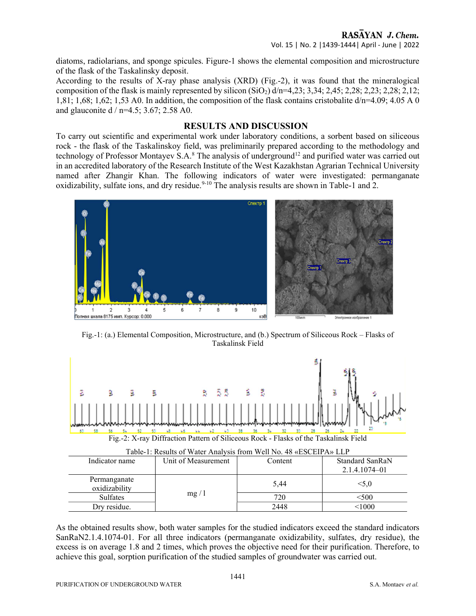## RASAYAN J. Chem.

Vol. 15 | No. 2 |1439-1444| April - June | 2022

diatoms, radiolarians, and sponge spicules. Figure-1 shows the elemental composition and microstructure of the flask of the Taskalinsky deposit.

According to the results of X-ray phase analysis (XRD) (Fig.-2), it was found that the mineralogical composition of the flask is mainly represented by silicon  $(SiO<sub>2</sub>)$  d/n=4,23; 3,34; 2,45; 2,28; 2,28; 2,28; 2,28; 2,12; 1,81; 1,68; 1,62; 1,53 A0. In addition, the composition of the flask contains cristobalite d/n=4.09; 4.05 A 0 and glauconite d / n=4.5; 3.67; 2.58 A0.

### RESULTS AND DISCUSSION

To carry out scientific and experimental work under laboratory conditions, a sorbent based on siliceous rock - the flask of the Taskalinskoy field, was preliminarily prepared according to the methodology and technology of Professor Montayev S.A.<sup>8</sup> The analysis of underground<sup>12</sup> and purified water was carried out in an accredited laboratory of the Research Institute of the West Kazakhstan Agrarian Technical University named after Zhangir Khan. The following indicators of water were investigated: permanganate oxidizability, sulfate ions, and dry residue.<sup>9-10</sup> The analysis results are shown in Table-1 and 2.



Fig.-1: (a.) Elemental Composition, Microstructure, and (b.) Spectrum of Siliceous Rock – Flasks of Taskalinsk Field



As the obtained results show, both water samples for the studied indicators exceed the standard indicators SanRaN2.1.4.1074-01. For all three indicators (permanganate oxidizability, sulfates, dry residue), the excess is on average 1.8 and 2 times, which proves the objective need for their purification. Therefore, to achieve this goal, sorption purification of the studied samples of groundwater was carried out.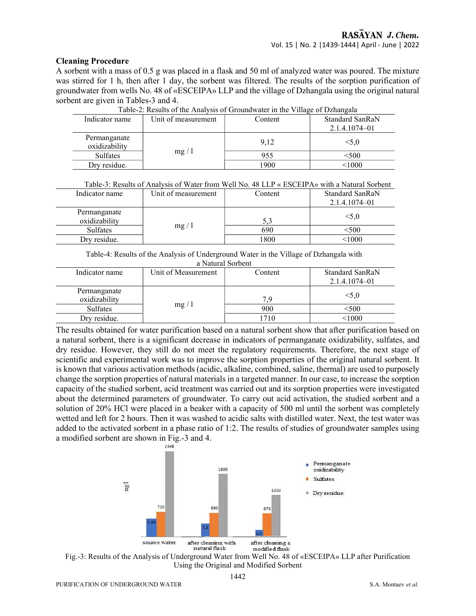### Cleaning Procedure

A sorbent with a mass of 0.5 g was placed in a flask and 50 ml of analyzed water was poured. The mixture was stirred for 1 h, then after 1 day, the sorbent was filtered. The results of the sorption purification of groundwater from wells No. 48 of «ESCEIPA» LLP and the village of Dzhangala using the original natural sorbent are given in Tables-3 and 4.

| Indicator name                | Unit of measurement | Table-2. Results of the Aliatysis of Groundwater in the Vinage of Dzhangala<br>Content | Standard SanRaN   |
|-------------------------------|---------------------|----------------------------------------------------------------------------------------|-------------------|
|                               |                     |                                                                                        | $2.1.4.1074 - 01$ |
| Permanganate<br>oxidizability |                     | 9.12                                                                                   | < 5.0             |
| <b>Sulfates</b>               | mg/1                | 955                                                                                    | <500              |
| Dry residue.                  |                     | 1900                                                                                   | <1000             |

Table-2: Results of the Analysis of Groundwater in the Village of Dzhangala

| Table-3: Results of Analysis of Water from Well No. 48 LLP « ESCEIPA» with a Natural Sorbent |                     |         |                 |  |  |
|----------------------------------------------------------------------------------------------|---------------------|---------|-----------------|--|--|
| Indicator name                                                                               | Unit of measurement | Content | Standard SanRaN |  |  |
|                                                                                              |                     |         | 2.1.4.1074-01   |  |  |
| Permanganate                                                                                 |                     |         |                 |  |  |
| oxidizability                                                                                |                     | 5.3     | < 5.0           |  |  |
| <b>Sulfates</b>                                                                              | mg/1                | 690     | <500            |  |  |
| Drv residue.                                                                                 |                     | 1800    | < 1000          |  |  |

Table-4: Results of the Analysis of Underground Water in the Village of Dzhangala with a Natural Sorbent

| Indicator name                | Unit of Measurement | Content | Standard SanRaN<br>2.1.4.1074-01 |
|-------------------------------|---------------------|---------|----------------------------------|
| Permanganate<br>oxidizability |                     | 7 9     | < 5.0                            |
| Sulfates                      | mg/1                | 900     | <500                             |
| Drv residue.                  |                     | 710     | <1000                            |

The results obtained for water purification based on a natural sorbent show that after purification based on a natural sorbent, there is a significant decrease in indicators of permanganate oxidizability, sulfates, and dry residue. However, they still do not meet the regulatory requirements. Therefore, the next stage of scientific and experimental work was to improve the sorption properties of the original natural sorbent. It is known that various activation methods (acidic, alkaline, combined, saline, thermal) are used to purposely change the sorption properties of natural materials in a targeted manner. In our case, to increase the sorption capacity of the studied sorbent, acid treatment was carried out and its sorption properties were investigated about the determined parameters of groundwater. To carry out acid activation, the studied sorbent and a solution of 20% HCl were placed in a beaker with a capacity of 500 ml until the sorbent was completely wetted and left for 2 hours. Then it was washed to acidic salts with distilled water. Next, the test water was added to the activated sorbent in a phase ratio of 1:2. The results of studies of groundwater samples using a modified sorbent are shown in Fig.-3 and 4. 2448



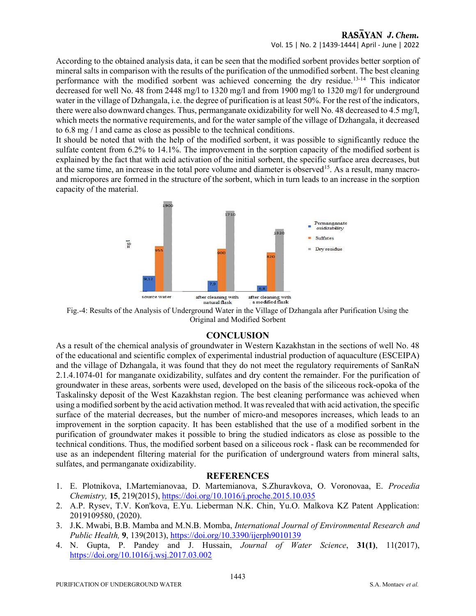### RASAYAN J. Chem. Vol. 15 | No. 2 |1439-1444| April - June | 2022

According to the obtained analysis data, it can be seen that the modified sorbent provides better sorption of mineral salts in comparison with the results of the purification of the unmodified sorbent. The best cleaning performance with the modified sorbent was achieved concerning the dry residue.13-14 This indicator decreased for well No. 48 from 2448 mg/l to 1320 mg/l and from 1900 mg/l to 1320 mg/l for underground water in the village of Dzhangala, i.e. the degree of purification is at least 50%. For the rest of the indicators, there were also downward changes. Thus, permanganate oxidizability for well No. 48 decreased to 4.5 mg/l, which meets the normative requirements, and for the water sample of the village of Dzhangala, it decreased to 6.8 mg / l and came as close as possible to the technical conditions.

It should be noted that with the help of the modified sorbent, it was possible to significantly reduce the sulfate content from 6.2% to 14.1%. The improvement in the sorption capacity of the modified sorbent is explained by the fact that with acid activation of the initial sorbent, the specific surface area decreases, but at the same time, an increase in the total pore volume and diameter is observed<sup>15</sup>. As a result, many macroand micropores are formed in the structure of the sorbent, which in turn leads to an increase in the sorption capacity of the material.



Fig.-4: Results of the Analysis of Underground Water in the Village of Dzhangala after Purification Using the Original and Modified Sorbent

### **CONCLUSION**

As a result of the chemical analysis of groundwater in Western Kazakhstan in the sections of well No. 48 of the educational and scientific complex of experimental industrial production of aquaculture (ESCEIPA) and the village of Dzhangala, it was found that they do not meet the regulatory requirements of SanRaN 2.1.4.1074-01 for manganate oxidizability, sulfates and dry content the remainder. For the purification of groundwater in these areas, sorbents were used, developed on the basis of the siliceous rock-opoka of the Taskalinsky deposit of the West Kazakhstan region. The best cleaning performance was achieved when using a modified sorbent by the acid activation method. It was revealed that with acid activation, the specific surface of the material decreases, but the number of micro-and mesopores increases, which leads to an improvement in the sorption capacity. It has been established that the use of a modified sorbent in the purification of groundwater makes it possible to bring the studied indicators as close as possible to the technical conditions. Thus, the modified sorbent based on a siliceous rock - flask can be recommended for use as an independent filtering material for the purification of underground waters from mineral salts, sulfates, and permanganate oxidizability.

### **REFERENCES**

- 1. E. Plotnikova, I.Martemianovaa, D. Martemianova, S.Zhuravkova, O. Voronovaa, E. Procedia Chemistry, 15, 219(2015), https://doi.org/10.1016/j.proche.2015.10.035
- 2. A.P. Rysev, T.V. Kon'kova, E.Yu. Lieberman N.K. Chin, Yu.O. Malkova KZ Patent Application: 2019109580, (2020).
- 3. J.K. Mwabi, B.B. Mamba and M.N.B. Momba, International Journal of Environmental Research and Public Health, 9, 139(2013), https://doi.org/10.3390/ijerph9010139
- 4. N. Gupta, P. Pandey and J. Hussain, Journal of Water Science, 31(1), 11(2017), https://doi.org/10.1016/j.wsj.2017.03.002